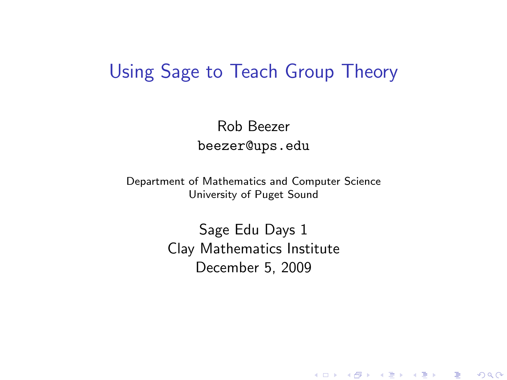#### Using Sage to Teach Group Theory

Rob Beezer beezer@ups.edu

Department of Mathematics and Computer Science University of Puget Sound

> <span id="page-0-0"></span>Sage Edu Days 1 Clay Mathematics Institute December 5, 2009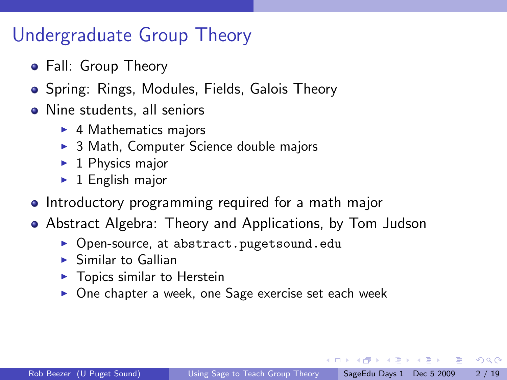#### Undergraduate Group Theory

- Fall: Group Theory
- Spring: Rings, Modules, Fields, Galois Theory
- Nine students, all seniors
	- $\blacktriangleright$  4 Mathematics majors
	- $\triangleright$  3 Math, Computer Science double majors
	- $\blacktriangleright$  1 Physics major
	- $\blacktriangleright$  1 English major
- Introductory programming required for a math major
- Abstract Algebra: Theory and Applications, by Tom Judson
	- ▶ Open-source, at abstract.pugetsound.edu
	- $\blacktriangleright$  Similar to Gallian
	- $\blacktriangleright$  Topics similar to Herstein
	- $\triangleright$  One chapter a week, one Sage exercise set each week

4 0 8

《御本 《君本 《君本》 君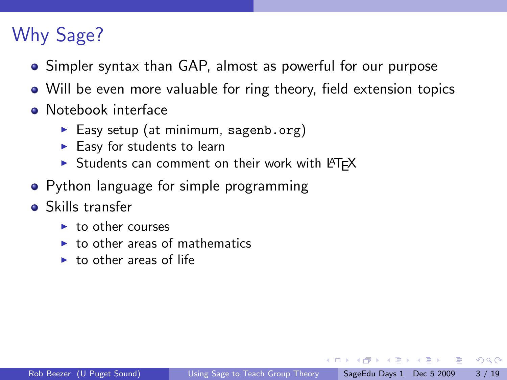# Why Sage?

- Simpler syntax than GAP, almost as powerful for our purpose
- Will be even more valuable for ring theory, field extension topics
- Notebook interface
	- Easy setup (at minimum, sagenb.org)
	- $\blacktriangleright$  Easy for students to learn
	- Students can comment on their work with LATEX
- Python language for simple programming
- Skills transfer
	- $\blacktriangleright$  to other courses
	- $\blacktriangleright$  to other areas of mathematics
	- $\blacktriangleright$  to other areas of life

医单位 医单位

- 30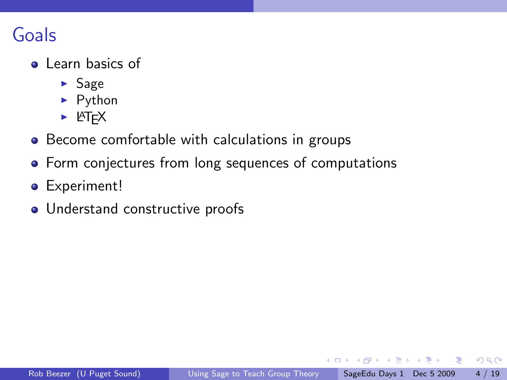### Goals

- **a** Learn basics of
	- $\blacktriangleright$  Sage
	- $\blacktriangleright$  Python
	- $\blacktriangleright$  LAT<sub>E</sub>X
- Become comfortable with calculations in groups
- **•** Form conjectures from long sequences of computations
- **•** Experiment!
- Understand constructive proofs

画

正々 メラメ

**∢ ⊡**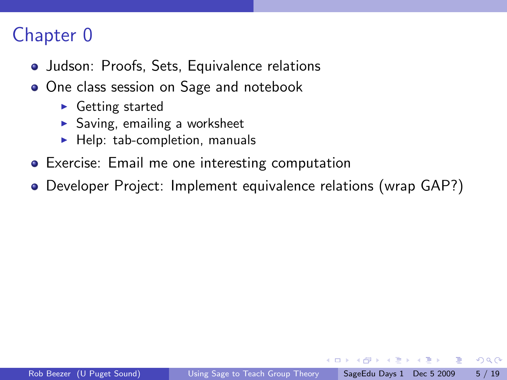- Judson: Proofs, Sets, Equivalence relations
- **One class session on Sage and notebook** 
	- $\triangleright$  Getting started
	- $\triangleright$  Saving, emailing a worksheet
	- $\blacktriangleright$  Help: tab-completion, manuals
- Exercise: Email me one interesting computation
- Developer Project: Implement equivalence relations (wrap GAP?)

ヨメ メヨメ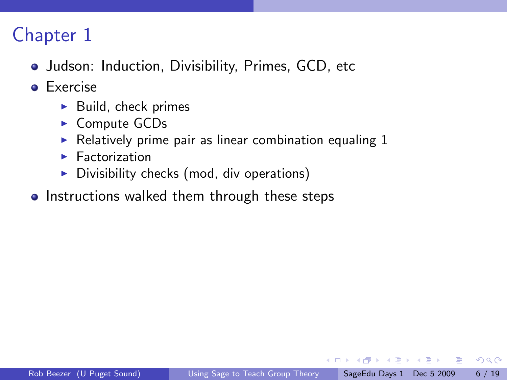- Judson: Induction, Divisibility, Primes, GCD, etc
- **e** Exercise
	- $\blacktriangleright$  Build, check primes
	- ► Compute GCDs
	- $\triangleright$  Relatively prime pair as linear combination equaling 1
	- $\blacktriangleright$  Factorization
	- $\triangleright$  Divisibility checks (mod, div operations)
- Instructions walked them through these steps

化重新润滑脂

4 D F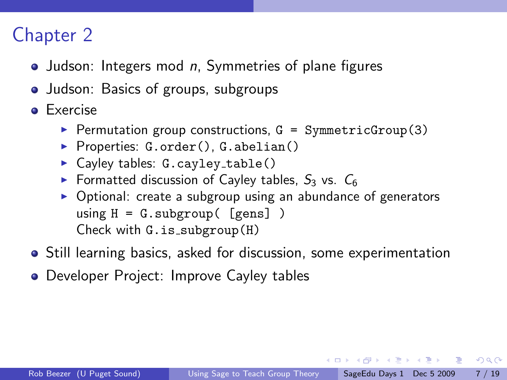- $\bullet$  Judson: Integers mod *n*, Symmetries of plane figures
- Judson: Basics of groups, subgroups
- **•** Exercise
	- Permutation group constructions,  $G = SymmetricGroup(3)$
	- Properties:  $G.\norder(), G.\nabelian()$
	- $\blacktriangleright$  Cayley tables: G.cayley\_table()
	- **Formatted discussion of Cayley tables,**  $S_3$  **vs.**  $C_6$
	- $\triangleright$  Optional: create a subgroup using an abundance of generators using  $H = G$ . subgroup( $[gens]$ ) Check with  $G.is\_subgroup(H)$
- **•** Still learning basics, asked for discussion, some experimentation
- **Developer Project: Improve Cayley tables**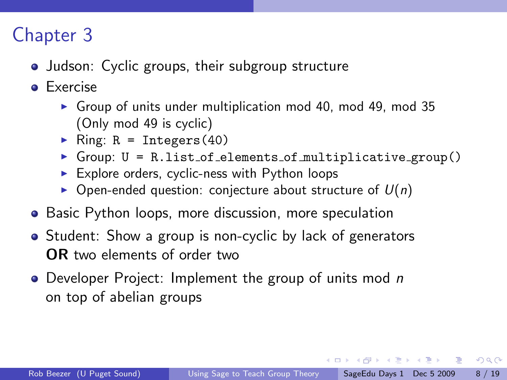- Judson: Cyclic groups, their subgroup structure
- **e** Exercise
	- $\triangleright$  Group of units under multiplication mod 40, mod 49, mod 35 (Only mod 49 is cyclic)
	- Ring:  $R = Integers(40)$
	- $\triangleright$  Group:  $U = Ru$ .list\_of\_elements\_of\_multiplicative\_group()
	- $\triangleright$  Explore orders, cyclic-ness with Python loops
	- $\triangleright$  Open-ended question: conjecture about structure of  $U(n)$
- Basic Python loops, more discussion, more speculation
- Student: Show a group is non-cyclic by lack of generators OR two elements of order two
- Developer Project: Implement the group of units mod n on top of abelian groups

4 日下

イ押 トイヨ トイヨ トーヨー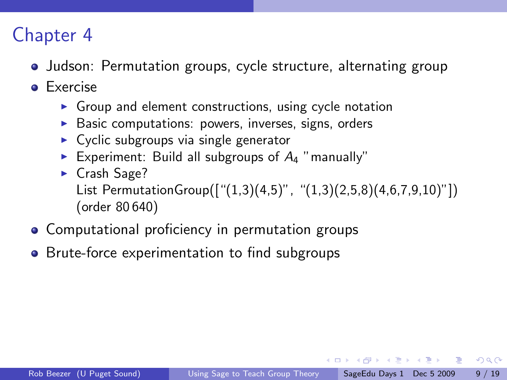- Judson: Permutation groups, cycle structure, alternating group
- **e** Exercise
	- $\triangleright$  Group and element constructions, using cycle notation
	- $\triangleright$  Basic computations: powers, inverses, signs, orders
	- $\triangleright$  Cyclic subgroups via single generator
	- Experiment: Build all subgroups of  $A_4$  "manually"
	- $\blacktriangleright$  Crash Sage? List PermutationGroup(["(1,3)(4,5)", "(1,3)(2,5,8)(4,6,7,9,10)"]) (order 80 640)
- Computational proficiency in permutation groups
- Brute-force experimentation to find subgroups

医单位 医单位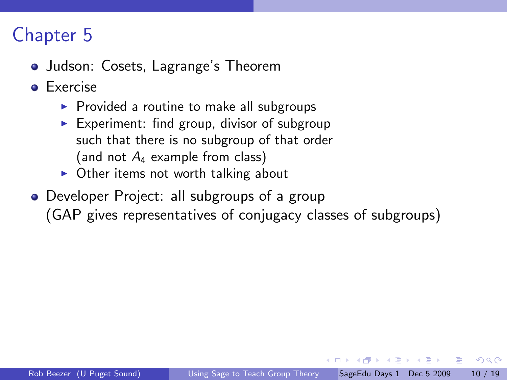- Judson: Cosets, Lagrange's Theorem
- **e** Exercise
	- $\triangleright$  Provided a routine to make all subgroups
	- Experiment: find group, divisor of subgroup such that there is no subgroup of that order (and not  $A_4$  example from class)
	- $\triangleright$  Other items not worth talking about
- Developer Project: all subgroups of a group (GAP gives representatives of conjugacy classes of subgroups)

医单位 医单位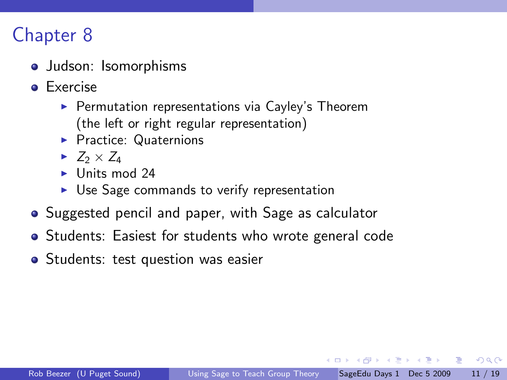- Judson: Isomorphisms
- **o** Exercise
	- $\blacktriangleright$  Permutation representations via Cayley's Theorem (the left or right regular representation)
	- **Practice: Quaternions**
	- $\blacktriangleright$  Z<sub>2</sub>  $\times$  Z<sub>4</sub>
	- $\blacktriangleright$  Units mod 24
	- $\triangleright$  Use Sage commands to verify representation
- Suggested pencil and paper, with Sage as calculator
- Students: Easiest for students who wrote general code
- Students: test question was easier

医单位 医单位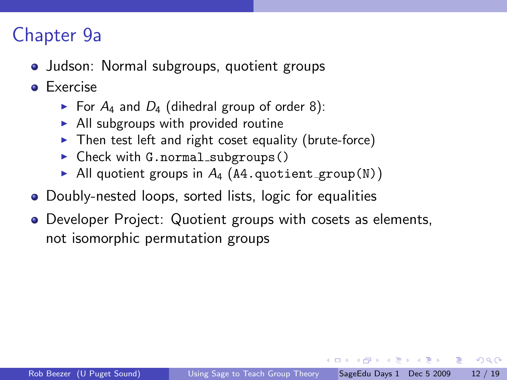#### Chapter 9a

- Judson: Normal subgroups, quotient groups
- **e** Exercise
	- For  $A_4$  and  $D_4$  (dihedral group of order 8):
	- $\blacktriangleright$  All subgroups with provided routine
	- $\triangleright$  Then test left and right coset equality (brute-force)
	- $\triangleright$  Check with G.normal\_subgroups()
	- All quotient groups in  $A_4$  (A4.quotient\_group(N))
- Doubly-nested loops, sorted lists, logic for equalities
- Developer Project: Quotient groups with cosets as elements, not isomorphic permutation groups

母 トマミト マミト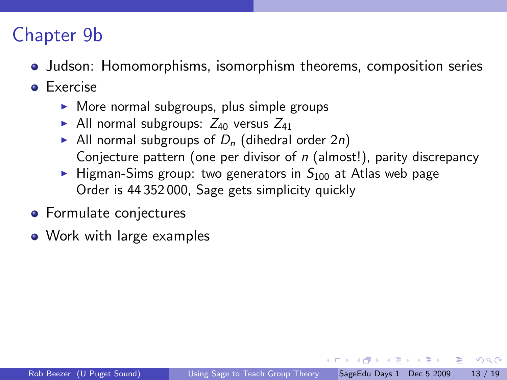### Chapter 9b

- **Judson: Homomorphisms, isomorphism theorems, composition series**
- **o** Exercise
	- $\triangleright$  More normal subgroups, plus simple groups
	- All normal subgroups:  $Z_{40}$  versus  $Z_{41}$
	- All normal subgroups of  $D_n$  (dihedral order 2n) Conjecture pattern (one per divisor of  $n$  (almost!), parity discrepancy
	- $\blacktriangleright$  Higman-Sims group: two generators in  $S_{100}$  at Atlas web page Order is 44 352 000, Sage gets simplicity quickly
- **•** Formulate conjectures
- Work with large examples

医不重 医不重 医二重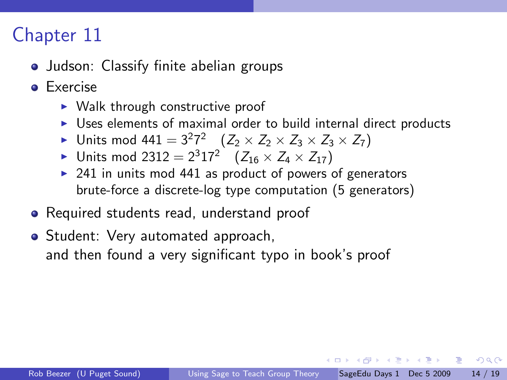- Judson: Classify finite abelian groups
- **e** Exercise
	- $\triangleright$  Walk through constructive proof
	- $\triangleright$  Uses elements of maximal order to build internal direct products
	- ► Units mod 44 $1 = 3^2 7^2$   $(Z_2 \times Z_2 \times Z_3 \times Z_3 \times Z_7)$
	- ▶ Units mod 2312 =  $2^3 17^2$   $(Z_{16} \times Z_4 \times Z_{17})$
	- $\triangleright$  241 in units mod 441 as product of powers of generators brute-force a discrete-log type computation (5 generators)
- Required students read, understand proof
- Student: Very automated approach, and then found a very significant typo in book's proof

押 トマミ トマミト ニヨ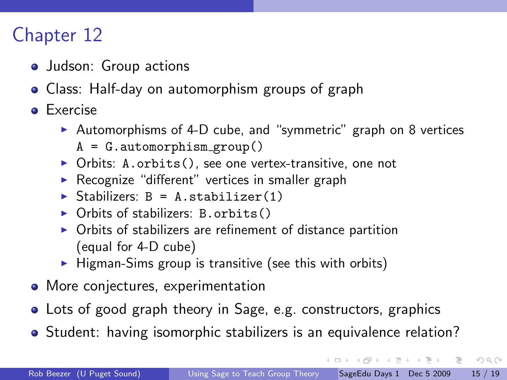- Judson: Group actions
- Class: Half-day on automorphism groups of graph
- **•** Exercise
	- $\triangleright$  Automorphisms of 4-D cube, and "symmetric" graph on 8 vertices  $A = G$ . automorphism\_group()
	- $\triangleright$  Orbits: A.orbits(), see one vertex-transitive, one not
	- $\triangleright$  Recognize "different" vertices in smaller graph
	- $\triangleright$  Stabilizers: B = A.stabilizer(1)
	- $\triangleright$  Orbits of stabilizers: B.orbits()
	- $\triangleright$  Orbits of stabilizers are refinement of distance partition (equal for 4-D cube)
	- $\blacktriangleright$  Higman-Sims group is transitive (see this with orbits)
- More conjectures, experimentation
- Lots of good graph theory in Sage, e.g. constructors, graphics
- Student: having isomorphic stabilizers is an equivalence relation?

 $\equiv$   $\cap$   $\alpha$ 

→ 何 ▶ → ヨ ▶ → ヨ ▶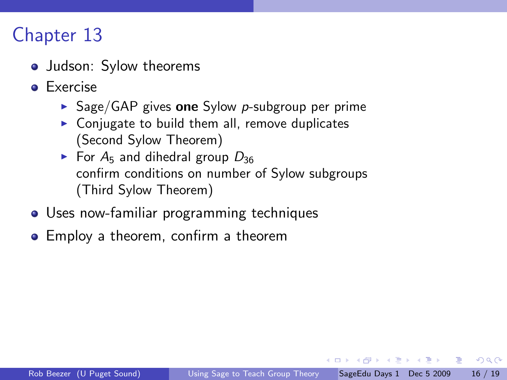- Judson: Sylow theorems
- **e** Exercise
	- $\triangleright$  Sage/GAP gives one Sylow p-subgroup per prime
	- $\triangleright$  Conjugate to build them all, remove duplicates (Second Sylow Theorem)
	- $\triangleright$  For A<sub>5</sub> and dihedral group  $D_{36}$ confirm conditions on number of Sylow subgroups (Third Sylow Theorem)
- Uses now-familiar programming techniques
- Employ a theorem, confirm a theorem

医单位 医单位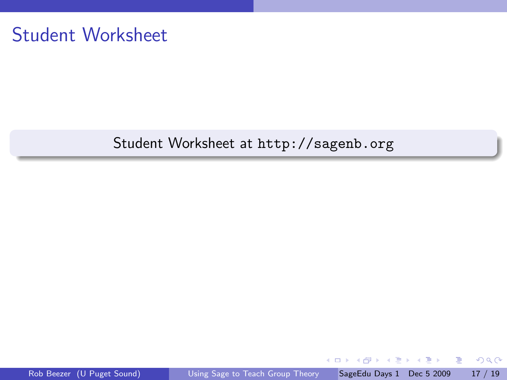#### Student Worksheet

#### Student Worksheet at http://sagenb.org

4.0.3

重

Þ  $\triangleright$   $\rightarrow$   $\Rightarrow$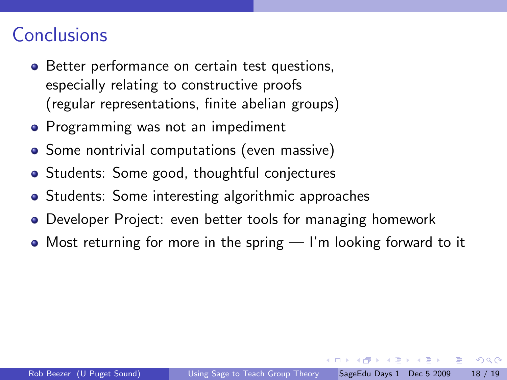#### **Conclusions**

- Better performance on certain test questions, especially relating to constructive proofs (regular representations, finite abelian groups)
- Programming was not an impediment
- Some nontrivial computations (even massive)
- Students: Some good, thoughtful conjectures
- Students: Some interesting algorithmic approaches
- Developer Project: even better tools for managing homework
- Most returning for more in the spring I'm looking forward to it

医毛囊 医牙骨下的